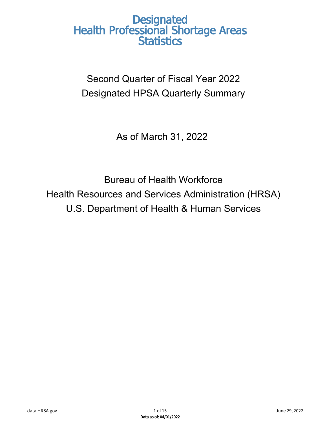Second Quarter of Fiscal Year 2022 Designated HPSA Quarterly Summary

As of March 31, 2022

Bureau of Health Workforce Health Resources and Services Administration (HRSA) U.S. Department of Health & Human Services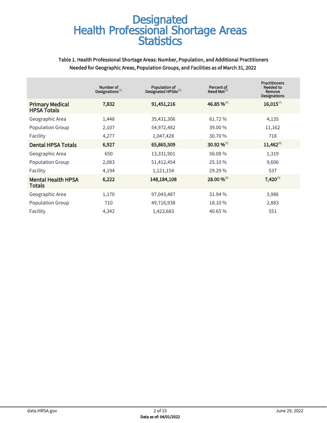#### Table 1. Health Professional Shortage Areas: Number, Population, and Additional Practitioners Needed for Geographic Areas, Population Groups, and Facilities as of March 31, 2022

|                                              | Number of<br>Designations $^{(1)}$ | Population of<br>Designated HPSAs <sup>(2)</sup> | Percent of<br>Need Met $^{(3)}$ | <b>Practitioners</b><br>Needed to<br>Remove<br><b>Designations</b> |
|----------------------------------------------|------------------------------------|--------------------------------------------------|---------------------------------|--------------------------------------------------------------------|
| <b>Primary Medical</b><br><b>HPSA Totals</b> | 7,832                              | 91,451,216                                       | 46.85 % <sup>(4)</sup>          | $16,015^{(7)}$                                                     |
| Geographic Area                              | 1,448                              | 35,431,306                                       | 61.72%                          | 4,135                                                              |
| Population Group                             | 2,107                              | 54,972,482                                       | 39.00 %                         | 11,162                                                             |
| Facility                                     | 4,277                              | 1,047,428                                        | 30.70 %                         | 718                                                                |
| <b>Dental HPSA Totals</b>                    | 6,927                              | 65,865,509                                       | 30.92 % <sup>(5)</sup>          | $11,462^{(8)}$                                                     |
| Geographic Area                              | 650                                | 13,331,901                                       | 56.08%                          | 1,319                                                              |
| <b>Population Group</b>                      | 2,083                              | 51,412,454                                       | 25.10 %                         | 9,606                                                              |
| Facility                                     | 4,194                              | 1,121,154                                        | 29.29%                          | 537                                                                |
| <b>Mental Health HPSA</b><br><b>Totals</b>   | 6,222                              | 148, 184, 108                                    | 28.00 %(6)                      | $7,420^{(9)}$                                                      |
| Geographic Area                              | 1,170                              | 97,043,487                                       | 31.94 %                         | 3,986                                                              |
| <b>Population Group</b>                      | 710                                | 49,716,938                                       | 18.10%                          | 2,883                                                              |
| Facility                                     | 4,342                              | 1,423,683                                        | 40.65%                          | 551                                                                |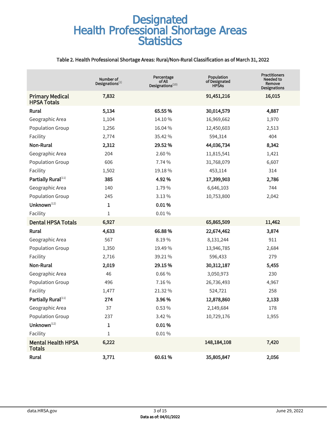#### Table 2. Health Professional Shortage Areas: Rural/Non-Rural Classification as of March 31, 2022

|                                              | Number of<br>Designations $(1)$ | Percentage<br>of All<br>Designations $^{(10)}$ | <b>Population</b><br>of Designated<br><b>HPSAs</b> | <b>Practitioners</b><br>Needed to<br>Remove<br><b>Designations</b> |
|----------------------------------------------|---------------------------------|------------------------------------------------|----------------------------------------------------|--------------------------------------------------------------------|
| <b>Primary Medical</b><br><b>HPSA Totals</b> | 7,832                           |                                                | 91,451,216                                         | 16,015                                                             |
| Rural                                        | 5,134                           | 65.55 %                                        | 30,014,579                                         | 4,887                                                              |
| Geographic Area                              | 1,104                           | 14.10%                                         | 16,969,662                                         | 1,970                                                              |
| <b>Population Group</b>                      | 1,256                           | 16.04 %                                        | 12,450,603                                         | 2,513                                                              |
| Facility                                     | 2,774                           | 35.42 %                                        | 594,314                                            | 404                                                                |
| <b>Non-Rural</b>                             | 2,312                           | 29.52 %                                        | 44,036,734                                         | 8,342                                                              |
| Geographic Area                              | 204                             | 2.60%                                          | 11,815,541                                         | 1,421                                                              |
| Population Group                             | 606                             | 7.74 %                                         | 31,768,079                                         | 6,607                                                              |
| Facility                                     | 1,502                           | 19.18%                                         | 453,114                                            | 314                                                                |
| Partially Rural(11)                          | 385                             | 4.92%                                          | 17,399,903                                         | 2,786                                                              |
| Geographic Area                              | 140                             | 1.79%                                          | 6,646,103                                          | 744                                                                |
| <b>Population Group</b>                      | 245                             | 3.13%                                          | 10,753,800                                         | 2,042                                                              |
| Unknown <sup>(12)</sup>                      | 1                               | 0.01%                                          |                                                    |                                                                    |
| Facility                                     | 1                               | $0.01\%$                                       |                                                    |                                                                    |
| <b>Dental HPSA Totals</b>                    | 6,927                           |                                                | 65,865,509                                         | 11,462                                                             |
| Rural                                        | 4,633                           | 66.88%                                         | 22,674,462                                         | 3,874                                                              |
| Geographic Area                              | 567                             | 8.19%                                          | 8,131,244                                          | 911                                                                |
| <b>Population Group</b>                      | 1,350                           | 19.49%                                         | 13,946,785                                         | 2,684                                                              |
| Facility                                     | 2,716                           | 39.21 %                                        | 596,433                                            | 279                                                                |
| <b>Non-Rural</b>                             | 2,019                           | 29.15%                                         | 30, 312, 187                                       | 5,455                                                              |
| Geographic Area                              | 46                              | 0.66%                                          | 3,050,973                                          | 230                                                                |
| <b>Population Group</b>                      | 496                             | 7.16%                                          | 26,736,493                                         | 4,967                                                              |
| Facility                                     | 1,477                           | 21.32 %                                        | 524,721                                            | 258                                                                |
| Partially Rural(11)                          | 274                             | 3.96%                                          | 12,878,860                                         | 2,133                                                              |
| Geographic Area                              | 37                              | 0.53 %                                         | 2,149,684                                          | 178                                                                |
| Population Group                             | 237                             | 3.42 %                                         | 10,729,176                                         | 1,955                                                              |
| Unknown <sup>(12)</sup>                      | $\mathbf 1$                     | 0.01%                                          |                                                    |                                                                    |
| Facility                                     | $\mathbf 1$                     | $0.01\,\%$                                     |                                                    |                                                                    |
| <b>Mental Health HPSA</b><br><b>Totals</b>   | 6,222                           |                                                | 148, 184, 108                                      | 7,420                                                              |
| Rural                                        | 3,771                           | 60.61%                                         | 35,805,847                                         | 2,056                                                              |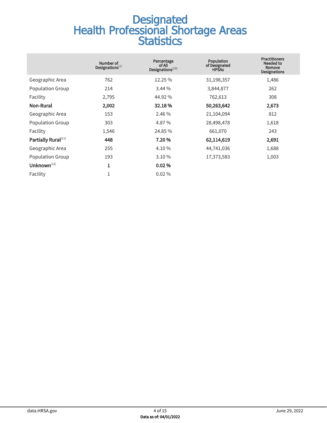|                                 | Number of<br>Designations $(1)$ | Percentage<br>of All<br>Designations <sup>(10)</sup> | <b>Population</b><br>of Designated<br><b>HPSAs</b> | <b>Practitioners</b><br>Needed to<br>Remove<br><b>Designations</b> |
|---------------------------------|---------------------------------|------------------------------------------------------|----------------------------------------------------|--------------------------------------------------------------------|
| Geographic Area                 | 762                             | 12.25 %                                              | 31,198,357                                         | 1,486                                                              |
| Population Group                | 214                             | 3.44%                                                | 3,844,877                                          | 262                                                                |
| Facility                        | 2,795                           | 44.92 %                                              | 762,613                                            | 308                                                                |
| Non-Rural                       | 2,002                           | 32.18%                                               | 50,263,642                                         | 2,673                                                              |
| Geographic Area                 | 153                             | 2.46 %                                               | 21,104,094                                         | 812                                                                |
| Population Group                | 303                             | 4.87%                                                | 28,498,478                                         | 1,618                                                              |
| Facility                        | 1,546                           | 24.85 %                                              | 661,070                                            | 243                                                                |
| Partially Rural <sup>(11)</sup> | 448                             | 7.20%                                                | 62,114,619                                         | 2,691                                                              |
| Geographic Area                 | 255                             | 4.10 %                                               | 44,741,036                                         | 1,688                                                              |
| <b>Population Group</b>         | 193                             | 3.10%                                                | 17,373,583                                         | 1,003                                                              |
| Unknown $(12)$                  | 1                               | 0.02%                                                |                                                    |                                                                    |
| Facility                        | $\mathbf{1}$                    | $0.02\%$                                             |                                                    |                                                                    |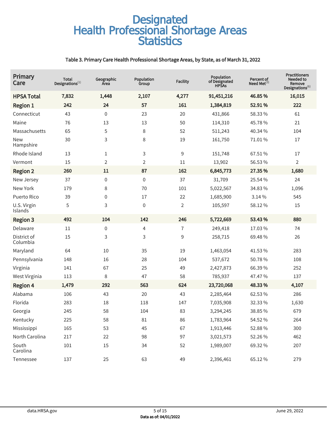#### Table 3. Primary Care Health Professional Shortage Areas, by State, as of March 31, 2022

| Primary<br>Care         | <b>Total</b><br>Designations $^{(1)}$ | Geographic<br>Area | Population<br>Group | <b>Facility</b> | Population<br>of Designated<br><b>HPSAs</b> | Percent of<br>Need Met $^{(3)}$ | <b>Practitioners</b><br>Needed to<br>Remove<br>Designations(6) |
|-------------------------|---------------------------------------|--------------------|---------------------|-----------------|---------------------------------------------|---------------------------------|----------------------------------------------------------------|
| <b>HPSA Total</b>       | 7,832                                 | 1,448              | 2,107               | 4,277           | 91,451,216                                  | 46.85%                          | 16,015                                                         |
| <b>Region 1</b>         | 242                                   | 24                 | 57                  | 161             | 1,384,819                                   | 52.91%                          | 222                                                            |
| Connecticut             | 43                                    | $\boldsymbol{0}$   | 23                  | 20              | 431,866                                     | 58.33 %                         | 61                                                             |
| Maine                   | 76                                    | 13                 | 13                  | 50              | 114,310                                     | 45.78%                          | 21                                                             |
| Massachusetts           | 65                                    | 5                  | 8                   | 52              | 511,243                                     | 40.34 %                         | 104                                                            |
| <b>New</b><br>Hampshire | 30                                    | 3                  | 8                   | 19              | 161,750                                     | 71.01%                          | 17                                                             |
| Rhode Island            | 13                                    | $\mathbf{1}$       | 3                   | 9               | 151,748                                     | 67.51%                          | 17                                                             |
| Vermont                 | 15                                    | $\overline{2}$     | $\overline{2}$      | 11              | 13,902                                      | 56.53 %                         | $\overline{2}$                                                 |
| <b>Region 2</b>         | 260                                   | 11                 | 87                  | 162             | 6,845,773                                   | 27.35 %                         | 1,680                                                          |
| New Jersey              | 37                                    | $\mathbf 0$        | $\boldsymbol{0}$    | 37              | 31,709                                      | 25.54 %                         | 24                                                             |
| New York                | 179                                   | 8                  | 70                  | 101             | 5,022,567                                   | 34.83 %                         | 1,096                                                          |
| Puerto Rico             | 39                                    | 0                  | 17                  | 22              | 1,685,900                                   | 3.14%                           | 545                                                            |
| U.S. Virgin<br>Islands  | 5                                     | 3                  | $\mathbf 0$         | $\overline{2}$  | 105,597                                     | 58.12%                          | 15                                                             |
| <b>Region 3</b>         | 492                                   | 104                | 142                 | 246             | 5,722,669                                   | 53.43%                          | 880                                                            |
| Delaware                | 11                                    | $\boldsymbol{0}$   | 4                   | $\overline{1}$  | 249,418                                     | 17.03%                          | 74                                                             |
| District of<br>Columbia | 15                                    | 3                  | 3                   | 9               | 258,715                                     | 69.48%                          | 26                                                             |
| Maryland                | 64                                    | 10                 | 35                  | 19              | 1,463,054                                   | 41.53%                          | 283                                                            |
| Pennsylvania            | 148                                   | 16                 | 28                  | 104             | 537,672                                     | 50.78%                          | 108                                                            |
| Virginia                | 141                                   | 67                 | 25                  | 49              | 2,427,873                                   | 66.39%                          | 252                                                            |
| West Virginia           | 113                                   | 8                  | 47                  | 58              | 785,937                                     | 47.47 %                         | 137                                                            |
| <b>Region 4</b>         | 1,479                                 | 292                | 563                 | 624             | 23,720,068                                  | 48.33%                          | 4,107                                                          |
| Alabama                 | 106                                   | 43                 | 20                  | 43              | 2,285,464                                   | 62.53 %                         | 286                                                            |
| Florida                 | 283                                   | 18                 | 118                 | 147             | 7,035,908                                   | 32.33 %                         | 1,630                                                          |
| Georgia                 | 245                                   | 58                 | 104                 | 83              | 3,294,245                                   | 38.85%                          | 679                                                            |
| Kentucky                | 225                                   | 58                 | $81\,$              | 86              | 1,783,964                                   | 54.52 %                         | 264                                                            |
| Mississippi             | 165                                   | 53                 | 45                  | 67              | 1,913,446                                   | 52.88%                          | 300                                                            |
| North Carolina          | 217                                   | 22                 | 98                  | 97              | 3,021,573                                   | 52.26%                          | 462                                                            |
| South<br>Carolina       | 101                                   | 15                 | 34                  | 52              | 1,989,007                                   | 69.32%                          | 207                                                            |
| Tennessee               | 137                                   | 25                 | 63                  | 49              | 2,396,461                                   | 65.12%                          | 279                                                            |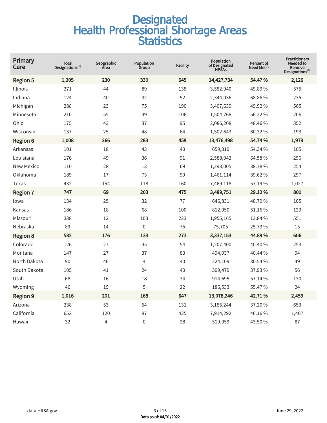| Primary<br>Care   | <b>Total</b><br>Designations $^{(1)}$ | Geographic<br>Area | Population<br>Group | <b>Facility</b> | Population<br>of Designated<br><b>HPSAs</b> | Percent of<br>Need Met $^{(3)}$ | <b>Practitioners</b><br>Needed to<br>Remove<br>$\mathsf{Designations}^{(6)}$ |
|-------------------|---------------------------------------|--------------------|---------------------|-----------------|---------------------------------------------|---------------------------------|------------------------------------------------------------------------------|
| <b>Region 5</b>   | 1,205                                 | 230                | 330                 | 645             | 14,427,734                                  | 54.47%                          | 2,126                                                                        |
| Illinois          | 271                                   | 44                 | 89                  | 138             | 3,582,940                                   | 49.89%                          | 575                                                                          |
| Indiana           | 124                                   | 40                 | 32                  | 52              | 2,344,036                                   | 68.86%                          | 235                                                                          |
| Michigan          | 288                                   | 23                 | 75                  | 190             | 3,407,639                                   | 49.92 %                         | 565                                                                          |
| Minnesota         | 210                                   | 55                 | 49                  | 106             | 1,504,268                                   | 56.22 %                         | 206                                                                          |
| Ohio              | 175                                   | 43                 | 37                  | 95              | 2,086,208                                   | 48.46%                          | 352                                                                          |
| Wisconsin         | 137                                   | 25                 | 48                  | 64              | 1,502,643                                   | 60.32 %                         | 193                                                                          |
| <b>Region 6</b>   | 1,008                                 | 266                | 283                 | 459             | 13,476,498                                  | 54.74%                          | 1,979                                                                        |
| Arkansas          | 101                                   | 18                 | 43                  | 40              | 659,319                                     | 54.34 %                         | 105                                                                          |
| Louisiana         | 176                                   | 49                 | 36                  | 91              | 2,588,942                                   | 64.58%                          | 296                                                                          |
| <b>New Mexico</b> | 110                                   | 28                 | 13                  | 69              | 1,298,005                                   | 38.78%                          | 254                                                                          |
| Oklahoma          | 189                                   | 17                 | 73                  | 99              | 1,461,114                                   | 39.62 %                         | 297                                                                          |
| Texas             | 432                                   | 154                | 118                 | 160             | 7,469,118                                   | 57.19%                          | 1,027                                                                        |
| <b>Region 7</b>   | 747                                   | 69                 | 203                 | 475             | 3,489,751                                   | 29.12%                          | 800                                                                          |
| lowa              | 134                                   | 25                 | 32                  | 77              | 646,831                                     | 48.79%                          | 105                                                                          |
| Kansas            | 186                                   | 18                 | 68                  | 100             | 812,050                                     | 51.16%                          | 129                                                                          |
| Missouri          | 338                                   | 12                 | 103                 | 223             | 1,955,165                                   | 13.84 %                         | 551                                                                          |
| Nebraska          | 89                                    | 14                 | $\mathbf 0$         | 75              | 75,705                                      | 25.73%                          | 15                                                                           |
| <b>Region 8</b>   | 582                                   | 176                | 133                 | 273             | 3,337,153                                   | 44.89%                          | 606                                                                          |
| Colorado          | 126                                   | 27                 | 45                  | 54              | 1,207,400                                   | 40.40%                          | 253                                                                          |
| Montana           | 147                                   | 27                 | 37                  | 83              | 494,937                                     | 40.44 %                         | 94                                                                           |
| North Dakota      | 90                                    | 46                 | 4                   | 40              | 224,109                                     | 30.54 %                         | 49                                                                           |
| South Dakota      | 105                                   | 41                 | 24                  | 40              | 309,479                                     | 37.93 %                         | 56                                                                           |
| Utah              | 68                                    | 16                 | 18                  | 34              | 914,695                                     | 57.14%                          | 130                                                                          |
| Wyoming           | 46                                    | 19                 | 5                   | 22              | 186,533                                     | 55.47 %                         | 24                                                                           |
| <b>Region 9</b>   | 1,016                                 | 201                | 168                 | 647             | 13,078,246                                  | 42.71%                          | 2,459                                                                        |
| Arizona           | 238                                   | 53                 | 54                  | 131             | 3,185,244                                   | 37.20%                          | 653                                                                          |
| California        | 652                                   | 120                | 97                  | 435             | 7,914,292                                   | 46.16%                          | 1,407                                                                        |
| Hawaii            | 32                                    | 4                  | $\boldsymbol{0}$    | 28              | 519,059                                     | 43.50 %                         | 87                                                                           |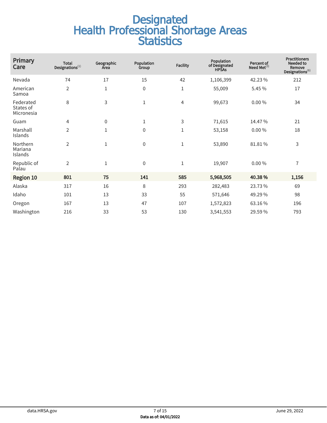| Primary<br>Care                      | <b>Total</b><br>Designations $^{(1)}$ | Geographic<br>Area | Population<br>Group | <b>Facility</b> | <b>Population</b><br>of Designated<br><b>HPSAs</b> | Percent of<br>Need Met $^{(3)}$ | <b>Practitioners</b><br>Needed to<br>Remove<br>Designations $^{(6)}$ |
|--------------------------------------|---------------------------------------|--------------------|---------------------|-----------------|----------------------------------------------------|---------------------------------|----------------------------------------------------------------------|
| Nevada                               | 74                                    | 17                 | 15                  | 42              | 1,106,399                                          | 42.23%                          | 212                                                                  |
| American<br>Samoa                    | $\overline{2}$                        | $\mathbf{1}$       | 0                   | 1               | 55,009                                             | 5.45 %                          | 17                                                                   |
| Federated<br>States of<br>Micronesia | 8                                     | 3                  | $1\,$               | 4               | 99,673                                             | 0.00%                           | 34                                                                   |
| Guam                                 | 4                                     | $\mathbf 0$        | $\mathbf{1}$        | 3               | 71,615                                             | 14.47%                          | 21                                                                   |
| Marshall<br>Islands                  | $\overline{2}$                        | $\mathbf{1}$       | 0                   | 1               | 53,158                                             | 0.00%                           | 18                                                                   |
| Northern<br>Mariana<br>Islands       | $\overline{2}$                        | $\mathbf{1}$       | 0                   | 1               | 53,890                                             | 81.81%                          | 3                                                                    |
| Republic of<br>Palau                 | $\overline{2}$                        | $\mathbf{1}$       | $\mathbf 0$         | 1               | 19,907                                             | 0.00%                           | $\overline{1}$                                                       |
| <b>Region 10</b>                     | 801                                   | 75                 | 141                 | 585             | 5,968,505                                          | 40.38%                          | 1,156                                                                |
| Alaska                               | 317                                   | 16                 | 8                   | 293             | 282,483                                            | 23.73%                          | 69                                                                   |
| Idaho                                | 101                                   | 13                 | 33                  | 55              | 571,646                                            | 49.29%                          | 98                                                                   |
| Oregon                               | 167                                   | 13                 | 47                  | 107             | 1,572,823                                          | 63.16%                          | 196                                                                  |
| Washington                           | 216                                   | 33                 | 53                  | 130             | 3,541,553                                          | 29.59%                          | 793                                                                  |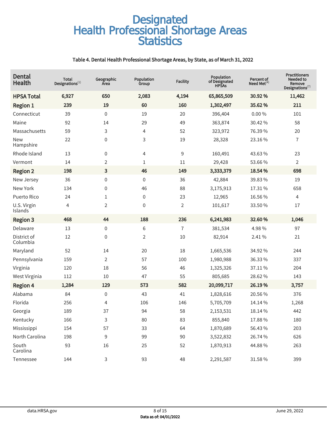#### Table 4. Dental Health Professional Shortage Areas, by State, as of March 31, 2022

| Dental<br>Health        | Total<br>Designations $^{(1)}$ | Geographic<br>Area | Population<br>Group | <b>Facility</b> | Population<br>of Designated<br><b>HPSAs</b> | Percent of<br>Need Met $(4)$ | <b>Practitioners</b><br>Needed to<br>Remove<br>Designations $^{(7)}$ |
|-------------------------|--------------------------------|--------------------|---------------------|-----------------|---------------------------------------------|------------------------------|----------------------------------------------------------------------|
| <b>HPSA Total</b>       | 6,927                          | 650                | 2,083               | 4,194           | 65,865,509                                  | 30.92%                       | 11,462                                                               |
| <b>Region 1</b>         | 239                            | 19                 | 60                  | 160             | 1,302,497                                   | 35.62%                       | 211                                                                  |
| Connecticut             | 39                             | $\boldsymbol{0}$   | 19                  | 20              | 396,404                                     | 0.00%                        | 101                                                                  |
| Maine                   | 92                             | 14                 | 29                  | 49              | 363,874                                     | 30.42 %                      | 58                                                                   |
| Massachusetts           | 59                             | 3                  | 4                   | 52              | 323,972                                     | 76.39%                       | 20                                                                   |
| <b>New</b><br>Hampshire | 22                             | 0                  | 3                   | 19              | 28,328                                      | 23.16%                       | 7                                                                    |
| Rhode Island            | 13                             | 0                  | 4                   | 9               | 160,491                                     | 43.63%                       | 23                                                                   |
| Vermont                 | 14                             | 2                  | 1                   | 11              | 29,428                                      | 53.66%                       | $\overline{2}$                                                       |
| <b>Region 2</b>         | 198                            | 3                  | 46                  | 149             | 3,333,379                                   | 18.54 %                      | 698                                                                  |
| New Jersey              | 36                             | $\mathbf 0$        | 0                   | 36              | 42,884                                      | 39.83 %                      | 19                                                                   |
| New York                | 134                            | $\mathbf 0$        | 46                  | 88              | 3,175,913                                   | 17.31%                       | 658                                                                  |
| Puerto Rico             | 24                             | $\mathbf{1}$       | 0                   | 23              | 12,965                                      | 16.56 %                      | 4                                                                    |
| U.S. Virgin<br>Islands  | 4                              | 2                  | 0                   | $\overline{2}$  | 101,617                                     | 33.50 %                      | 17                                                                   |
| <b>Region 3</b>         | 468                            | 44                 | 188                 | 236             | 6,241,983                                   | 32.60%                       | 1,046                                                                |
| Delaware                | 13                             | $\boldsymbol{0}$   | 6                   | $\overline{1}$  | 381,534                                     | 4.98%                        | 97                                                                   |
| District of<br>Columbia | 12                             | 0                  | 2                   | 10              | 82,914                                      | 2.41%                        | 21                                                                   |
| Maryland                | 52                             | 14                 | 20                  | 18              | 1,665,536                                   | 34.92 %                      | 244                                                                  |
| Pennsylvania            | 159                            | $\overline{2}$     | 57                  | 100             | 1,980,988                                   | 36.33%                       | 337                                                                  |
| Virginia                | 120                            | 18                 | 56                  | 46              | 1,325,326                                   | 37.11%                       | 204                                                                  |
| West Virginia           | 112                            | 10                 | 47                  | 55              | 805,685                                     | 28.62%                       | 143                                                                  |
| <b>Region 4</b>         | 1,284                          | 129                | 573                 | 582             | 20,099,717                                  | 26.19%                       | 3,757                                                                |
| Alabama                 | 84                             | 0                  | 43                  | 41              | 1,828,616                                   | 20.56 %                      | 376                                                                  |
| Florida                 | 256                            | 4                  | 106                 | 146             | 5,705,709                                   | 14.14 %                      | 1,268                                                                |
| Georgia                 | 189                            | 37                 | 94                  | 58              | 2,153,531                                   | 18.14%                       | 442                                                                  |
| Kentucky                | 166                            | 3                  | 80                  | 83              | 855,840                                     | 17.88%                       | 180                                                                  |
| Mississippi             | 154                            | 57                 | 33                  | 64              | 1,870,689                                   | 56.43%                       | 203                                                                  |
| North Carolina          | 198                            | 9                  | 99                  | $90\,$          | 3,522,832                                   | 26.74 %                      | 626                                                                  |
| South<br>Carolina       | 93                             | 16                 | 25                  | 52              | 1,870,913                                   | 44.88%                       | 263                                                                  |
| Tennessee               | 144                            | 3                  | 93                  | 48              | 2,291,587                                   | 31.58%                       | 399                                                                  |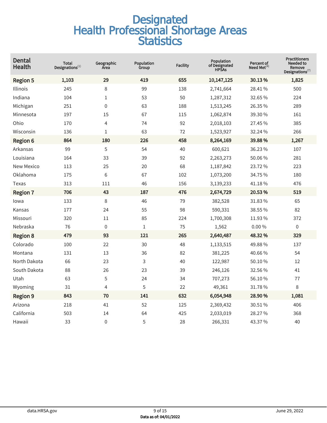| <b>Dental</b><br><b>Health</b> | <b>Total</b><br>Designations $^{(1)}$ | Geographic<br>Area | Population<br>Group | <b>Facility</b> | Population<br>of Designated<br><b>HPŠAs</b> | Percent of<br>Need Met $^{(4)}$ | <b>Practitioners</b><br>Needed to<br>Remove<br>$\mathsf{Designations}^{(7)}$ |
|--------------------------------|---------------------------------------|--------------------|---------------------|-----------------|---------------------------------------------|---------------------------------|------------------------------------------------------------------------------|
| <b>Region 5</b>                | 1,103                                 | 29                 | 419                 | 655             | 10,147,125                                  | 30.13%                          | 1,825                                                                        |
| Illinois                       | 245                                   | 8                  | 99                  | 138             | 2,741,664                                   | 28.41%                          | 500                                                                          |
| Indiana                        | 104                                   | $\mathbf{1}$       | 53                  | 50              | 1,287,312                                   | 32.65 %                         | 224                                                                          |
| Michigan                       | 251                                   | 0                  | 63                  | 188             | 1,513,245                                   | 26.35 %                         | 289                                                                          |
| Minnesota                      | 197                                   | 15                 | 67                  | 115             | 1,062,874                                   | 39.30 %                         | 161                                                                          |
| Ohio                           | 170                                   | 4                  | 74                  | 92              | 2,018,103                                   | 27.45 %                         | 385                                                                          |
| Wisconsin                      | 136                                   | $\mathbf{1}$       | 63                  | 72              | 1,523,927                                   | 32.24 %                         | 266                                                                          |
| <b>Region 6</b>                | 864                                   | 180                | 226                 | 458             | 8,264,169                                   | 39.88%                          | 1,267                                                                        |
| Arkansas                       | 99                                    | 5                  | 54                  | 40              | 600,621                                     | 36.23%                          | 107                                                                          |
| Louisiana                      | 164                                   | 33                 | 39                  | 92              | 2,263,273                                   | 50.06%                          | 281                                                                          |
| <b>New Mexico</b>              | 113                                   | 25                 | 20                  | 68              | 1,187,842                                   | 23.72%                          | 223                                                                          |
| Oklahoma                       | 175                                   | 6                  | 67                  | 102             | 1,073,200                                   | 34.75 %                         | 180                                                                          |
| Texas                          | 313                                   | 111                | 46                  | 156             | 3,139,233                                   | 41.18%                          | 476                                                                          |
| <b>Region 7</b>                | 706                                   | 43                 | 187                 | 476             | 2,674,729                                   | 20.53%                          | 519                                                                          |
| lowa                           | 133                                   | 8                  | 46                  | 79              | 382,528                                     | 31.83%                          | 65                                                                           |
| Kansas                         | 177                                   | 24                 | 55                  | 98              | 590,331                                     | 38.55 %                         | 82                                                                           |
| Missouri                       | 320                                   | 11                 | 85                  | 224             | 1,700,308                                   | 11.93%                          | 372                                                                          |
| Nebraska                       | 76                                    | $\mathbf 0$        | $\mathbf{1}$        | 75              | 1,562                                       | 0.00%                           | 0                                                                            |
| <b>Region 8</b>                | 479                                   | 93                 | 121                 | 265             | 2,640,487                                   | 48.32%                          | 329                                                                          |
| Colorado                       | 100                                   | 22                 | 30                  | 48              | 1,133,515                                   | 49.88%                          | 137                                                                          |
| Montana                        | 131                                   | 13                 | 36                  | 82              | 381,225                                     | 40.66%                          | 54                                                                           |
| North Dakota                   | 66                                    | 23                 | 3                   | 40              | 122,987                                     | 50.10 %                         | 12                                                                           |
| South Dakota                   | 88                                    | 26                 | 23                  | 39              | 246,126                                     | 32.56 %                         | 41                                                                           |
| Utah                           | 63                                    | 5                  | 24                  | 34              | 707,273                                     | 56.10%                          | 77                                                                           |
| Wyoming                        | 31                                    | 4                  | 5                   | 22              | 49,361                                      | 31.78%                          | 8                                                                            |
| <b>Region 9</b>                | 843                                   | 70                 | 141                 | 632             | 6,054,948                                   | 28.90%                          | 1,081                                                                        |
| Arizona                        | 218                                   | 41                 | 52                  | 125             | 2,369,432                                   | 30.51 %                         | 406                                                                          |
| California                     | 503                                   | 14                 | 64                  | 425             | 2,033,019                                   | 28.27%                          | 368                                                                          |
| Hawaii                         | 33                                    | 0                  | 5                   | 28              | 266,331                                     | 43.37 %                         | 40                                                                           |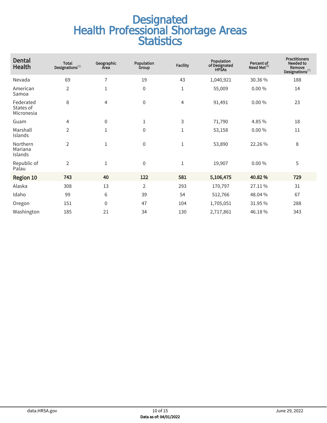| <b>Dental</b><br><b>Health</b>       | <b>Total</b><br>Designations $^{(1)}$ | Geographic<br>Area | Population<br>Group | <b>Facility</b> | Population<br>of Designated<br><b>HPSAs</b> | Percent of<br>Need Met $(4)$ | <b>Practitioners</b><br>Needed to<br>Remove<br>Designations $^{(7)}$ |
|--------------------------------------|---------------------------------------|--------------------|---------------------|-----------------|---------------------------------------------|------------------------------|----------------------------------------------------------------------|
| Nevada                               | 69                                    | $\overline{7}$     | 19                  | 43              | 1,040,921                                   | 30.36%                       | 188                                                                  |
| American<br>Samoa                    | $\overline{2}$                        | 1                  | $\boldsymbol{0}$    | $\mathbf 1$     | 55,009                                      | $0.00\%$                     | 14                                                                   |
| Federated<br>States of<br>Micronesia | 8                                     | 4                  | $\boldsymbol{0}$    | 4               | 91,491                                      | 0.00%                        | 23                                                                   |
| Guam                                 | $\overline{4}$                        | $\mathbf 0$        | $1\,$               | 3               | 71,790                                      | 4.85 %                       | 18                                                                   |
| Marshall<br>Islands                  | $\overline{2}$                        | $\mathbf 1$        | $\mathbf 0$         | $\mathbf 1$     | 53,158                                      | 0.00%                        | 11                                                                   |
| Northern<br>Mariana<br>Islands       | $\overline{2}$                        | $\mathbf{1}$       | $\boldsymbol{0}$    | $\mathbf 1$     | 53,890                                      | 22.26%                       | 8                                                                    |
| Republic of<br>Palau                 | $\overline{2}$                        | $\mathbf{1}$       | $\mathbf 0$         | $\mathbf{1}$    | 19,907                                      | 0.00%                        | 5                                                                    |
| <b>Region 10</b>                     | 743                                   | 40                 | 122                 | 581             | 5,106,475                                   | 40.82%                       | 729                                                                  |
| Alaska                               | 308                                   | 13                 | $\overline{2}$      | 293             | 170,797                                     | 27.11%                       | 31                                                                   |
| Idaho                                | 99                                    | 6                  | 39                  | 54              | 512,766                                     | 48.04%                       | 67                                                                   |
| Oregon                               | 151                                   | $\mathbf 0$        | 47                  | 104             | 1,705,051                                   | 31.95 %                      | 288                                                                  |
| Washington                           | 185                                   | 21                 | 34                  | 130             | 2,717,861                                   | 46.18%                       | 343                                                                  |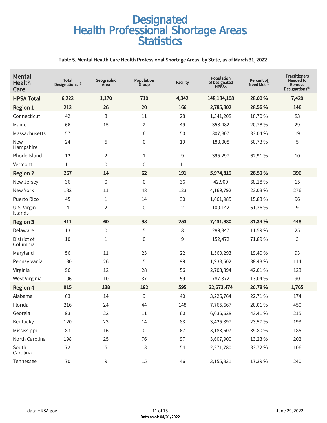#### Table 5. Mental Health Care Health Professional Shortage Areas, by State, as of March 31, 2022

| <b>Mental</b><br>Health<br>Care | Total<br>Designations $^{(1)}$ | Geographic<br>Area | Population<br>Group | <b>Facility</b> | Population<br>of Designated<br><b>HPSAs</b> | Percent of<br>Need Met $(5)$ | <b>Practitioners</b><br>Needed to<br>Remove<br>Designations <sup>(8)</sup> |
|---------------------------------|--------------------------------|--------------------|---------------------|-----------------|---------------------------------------------|------------------------------|----------------------------------------------------------------------------|
| <b>HPSA Total</b>               | 6,222                          | 1,170              | 710                 | 4,342           | 148, 184, 108                               | 28.00%                       | 7,420                                                                      |
| <b>Region 1</b>                 | 212                            | 26                 | 20                  | 166             | 2,785,802                                   | 28.56%                       | 146                                                                        |
| Connecticut                     | 42                             | 3                  | 11                  | 28              | 1,541,208                                   | 18.70%                       | 83                                                                         |
| Maine                           | 66                             | 15                 | 2                   | 49              | 358,482                                     | 20.78%                       | 29                                                                         |
| Massachusetts                   | 57                             | 1                  | 6                   | 50              | 307,807                                     | 33.04 %                      | 19                                                                         |
| <b>New</b><br>Hampshire         | 24                             | 5                  | 0                   | 19              | 183,008                                     | 50.73%                       | 5                                                                          |
| Rhode Island                    | 12                             | 2                  | 1                   | 9               | 395,297                                     | 62.91%                       | $10\,$                                                                     |
| Vermont                         | 11                             | 0                  | 0                   | 11              |                                             |                              |                                                                            |
| <b>Region 2</b>                 | 267                            | 14                 | 62                  | 191             | 5,974,819                                   | 26.59%                       | 396                                                                        |
| New Jersey                      | 36                             | $\boldsymbol{0}$   | $\boldsymbol{0}$    | 36              | 42,900                                      | 68.18%                       | 15                                                                         |
| New York                        | 182                            | 11                 | 48                  | 123             | 4,169,792                                   | 23.03%                       | 276                                                                        |
| Puerto Rico                     | 45                             | 1                  | 14                  | 30              | 1,661,985                                   | 15.83 %                      | 96                                                                         |
| U.S. Virgin<br>Islands          | $\overline{4}$                 | 2                  | $\boldsymbol{0}$    | $\overline{2}$  | 100,142                                     | 61.36%                       | 9                                                                          |
| <b>Region 3</b>                 | 411                            | 60                 | 98                  | 253             | 7,431,880                                   | 31.34 %                      | 448                                                                        |
| Delaware                        | 13                             | 0                  | 5                   | 8               | 289,347                                     | 11.59%                       | 25                                                                         |
| District of<br>Columbia         | 10                             | 1                  | $\boldsymbol{0}$    | 9               | 152,472                                     | 71.89%                       | 3                                                                          |
| Maryland                        | 56                             | 11                 | 23                  | 22              | 1,560,293                                   | 19.40 %                      | 93                                                                         |
| Pennsylvania                    | 130                            | 26                 | 5                   | 99              | 1,938,502                                   | 38.43%                       | 114                                                                        |
| Virginia                        | 96                             | 12                 | 28                  | 56              | 2,703,894                                   | 42.01%                       | 123                                                                        |
| West Virginia                   | 106                            | 10                 | 37                  | 59              | 787,372                                     | 13.04 %                      | 90                                                                         |
| <b>Region 4</b>                 | 915                            | 138                | 182                 | 595             | 32,673,474                                  | 26.78%                       | 1,765                                                                      |
| Alabama                         | 63                             | 14                 | 9                   | 40              | 3,226,764                                   | 22.71%                       | 174                                                                        |
| Florida                         | 216                            | 24                 | 44                  | 148             | 7,765,667                                   | 20.01%                       | 450                                                                        |
| Georgia                         | 93                             | 22                 | $11\,$              | 60              | 6,036,628                                   | 43.41%                       | 215                                                                        |
| Kentucky                        | 120                            | 23                 | 14                  | 83              | 3,425,397                                   | 23.57 %                      | 193                                                                        |
| Mississippi                     | 83                             | 16                 | $\boldsymbol{0}$    | 67              | 3,183,507                                   | 39.80 %                      | 185                                                                        |
| North Carolina                  | 198                            | 25                 | 76                  | 97              | 3,607,900                                   | 13.23 %                      | 202                                                                        |
| South<br>Carolina               | 72                             | 5                  | 13                  | 54              | 2,271,780                                   | 33.72%                       | 106                                                                        |
| Tennessee                       | $70\,$                         | 9                  | 15                  | 46              | 3,155,831                                   | 17.39 %                      | 240                                                                        |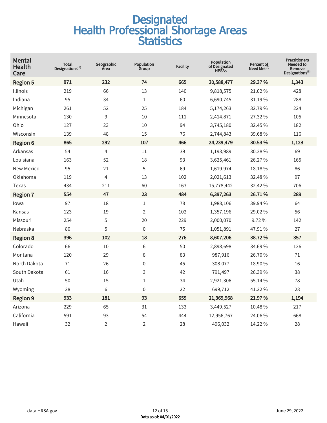| <b>Mental</b><br>Health<br>Care | Total<br>Designations $^{(1)}$ | Geographic<br>Area | Population<br>Group | <b>Facility</b> | Population<br>of Designated<br><b>HPSAs</b> | Percent of<br>Need Met $^{(5)}$ | <b>Practitioners</b><br><b>Needed to</b><br>Remove<br>Designations <sup>(8)</sup> |
|---------------------------------|--------------------------------|--------------------|---------------------|-----------------|---------------------------------------------|---------------------------------|-----------------------------------------------------------------------------------|
| <b>Region 5</b>                 | 971                            | 232                | 74                  | 665             | 30,588,477                                  | 29.37%                          | 1,343                                                                             |
| Illinois                        | 219                            | 66                 | 13                  | 140             | 9,818,575                                   | 21.02%                          | 428                                                                               |
| Indiana                         | 95                             | 34                 | $\mathbf{1}$        | 60              | 6,690,745                                   | 31.19%                          | 288                                                                               |
| Michigan                        | 261                            | 52                 | 25                  | 184             | 5,174,263                                   | 32.79%                          | 224                                                                               |
| Minnesota                       | 130                            | 9                  | 10                  | 111             | 2,414,871                                   | 27.32 %                         | 105                                                                               |
| Ohio                            | 127                            | 23                 | 10                  | 94              | 3,745,180                                   | 32.45 %                         | 182                                                                               |
| Wisconsin                       | 139                            | 48                 | 15                  | 76              | 2,744,843                                   | 39.68%                          | 116                                                                               |
| <b>Region 6</b>                 | 865                            | 292                | 107                 | 466             | 24,239,479                                  | 30.53%                          | 1,123                                                                             |
| Arkansas                        | 54                             | 4                  | 11                  | 39              | 1,193,989                                   | 30.28%                          | 69                                                                                |
| Louisiana                       | 163                            | 52                 | 18                  | 93              | 3,625,461                                   | 26.27%                          | 165                                                                               |
| <b>New Mexico</b>               | 95                             | 21                 | 5                   | 69              | 1,619,974                                   | 18.18%                          | 86                                                                                |
| Oklahoma                        | 119                            | 4                  | 13                  | 102             | 2,021,613                                   | 32.48%                          | 97                                                                                |
| Texas                           | 434                            | 211                | 60                  | 163             | 15,778,442                                  | 32.42 %                         | 706                                                                               |
| <b>Region 7</b>                 | 554                            | 47                 | 23                  | 484             | 6,397,263                                   | 26.71%                          | 289                                                                               |
| lowa                            | 97                             | 18                 | $\mathbf 1$         | 78              | 1,988,106                                   | 39.94 %                         | 64                                                                                |
| Kansas                          | 123                            | 19                 | $\overline{2}$      | 102             | 1,357,196                                   | 29.02 %                         | 56                                                                                |
| Missouri                        | 254                            | 5                  | 20                  | 229             | 2,000,070                                   | 9.72%                           | 142                                                                               |
| Nebraska                        | 80                             | 5                  | $\mathbf 0$         | 75              | 1,051,891                                   | 47.91%                          | 27                                                                                |
| <b>Region 8</b>                 | 396                            | 102                | 18                  | 276             | 8,607,206                                   | 38.72%                          | 357                                                                               |
| Colorado                        | 66                             | 10                 | 6                   | 50              | 2,898,698                                   | 34.69%                          | 126                                                                               |
| Montana                         | 120                            | 29                 | 8                   | 83              | 987,916                                     | 26.70%                          | 71                                                                                |
| North Dakota                    | 71                             | 26                 | $\boldsymbol{0}$    | 45              | 308,077                                     | 18.90 %                         | 16                                                                                |
| South Dakota                    | 61                             | 16                 | 3                   | 42              | 791,497                                     | 26.39%                          | 38                                                                                |
| Utah                            | 50                             | 15                 | $\mathbf{1}$        | 34              | 2,921,306                                   | 55.14%                          | 78                                                                                |
| Wyoming                         | 28                             | 6                  | $\boldsymbol{0}$    | 22              | 699,712                                     | 41.22%                          | 28                                                                                |
| <b>Region 9</b>                 | 933                            | 181                | 93                  | 659             | 21,369,968                                  | 21.97%                          | 1,194                                                                             |
| Arizona                         | 229                            | 65                 | 31                  | 133             | 3,449,527                                   | 10.48%                          | 217                                                                               |
| California                      | 591                            | 93                 | 54                  | 444             | 12,956,767                                  | 24.06%                          | 668                                                                               |
| Hawaii                          | 32                             | $\overline{2}$     | $\overline{2}$      | 28              | 496,032                                     | 14.22 %                         | 28                                                                                |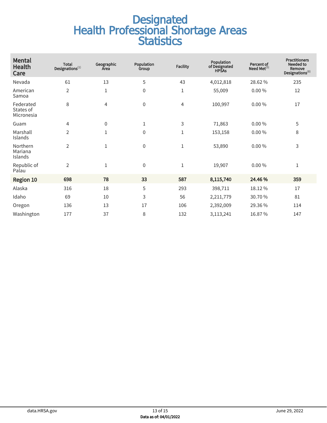| <b>Mental</b><br>Health<br>Care      | <b>Total</b><br>Designations $^{(1)}$ | Geographic<br>Area | Population<br>Group | <b>Facility</b> | Population<br>of Designated<br><b>HPSAs</b> | Percent of<br>Need Met $(5)$ | <b>Practitioners</b><br>Needed to<br>Remove<br>Designations <sup>(8)</sup> |
|--------------------------------------|---------------------------------------|--------------------|---------------------|-----------------|---------------------------------------------|------------------------------|----------------------------------------------------------------------------|
| Nevada                               | 61                                    | 13                 | 5                   | 43              | 4,012,818                                   | 28.62%                       | 235                                                                        |
| American<br>Samoa                    | $\overline{2}$                        | 1                  | $\mathbf 0$         | $\mathbf{1}$    | 55,009                                      | $0.00\%$                     | 12                                                                         |
| Federated<br>States of<br>Micronesia | 8                                     | 4                  | $\mathbf 0$         | 4               | 100,997                                     | $0.00\%$                     | 17                                                                         |
| Guam                                 | 4                                     | 0                  | $\mathbf 1$         | 3               | 71,863                                      | $0.00\%$                     | 5                                                                          |
| Marshall<br>Islands                  | $\overline{2}$                        | 1                  | $\mathbf 0$         | 1               | 153,158                                     | $0.00\%$                     | 8                                                                          |
| Northern<br>Mariana<br>Islands       | $\overline{2}$                        | 1                  | $\boldsymbol{0}$    | 1               | 53,890                                      | $0.00\%$                     | 3                                                                          |
| Republic of<br>Palau                 | $\overline{2}$                        | $\mathbf{1}$       | $\mathbf 0$         | $\mathbf{1}$    | 19,907                                      | $0.00\%$                     | $\mathbf{1}$                                                               |
| Region 10                            | 698                                   | 78                 | 33                  | 587             | 8,115,740                                   | 24.46%                       | 359                                                                        |
| Alaska                               | 316                                   | 18                 | 5                   | 293             | 398,711                                     | 18.12%                       | 17                                                                         |
| Idaho                                | 69                                    | 10                 | 3                   | 56              | 2,211,779                                   | 30.70%                       | 81                                                                         |
| Oregon                               | 136                                   | 13                 | 17                  | 106             | 2,392,009                                   | 29.36%                       | 114                                                                        |
| Washington                           | 177                                   | 37                 | 8                   | 132             | 3,113,241                                   | 16.87%                       | 147                                                                        |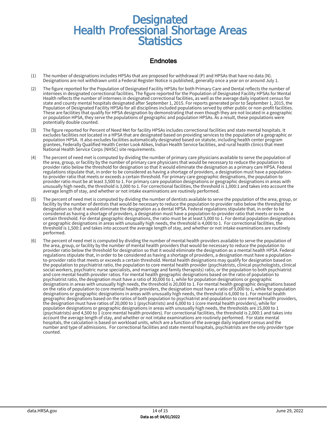#### Endnotes

- (1) The number of designations includes HPSAs that are proposed for withdrawal (P) and HPSAs that have no data (N). Designations are not withdrawn until a Federal Register Notice is published, generally once a year on or around July 1.
- (2) The figure reported for the Population of Designated Facility HPSAs for both Primary Care and Dental reflects the number of internees in designated correctional facilities. The figure reported for the Population of Designated Facility HPSAs for Mental Health reflects the number of internees in designated correctional facilities, as well as the average daily inpatient census for state and county mental hospitals designated after September 1, 2015. For reports generated prior to September 1, 2015, the Population of Designated Facility HPSAs for all disciplines included populations served by other public or non-profit facilities. These are facilities that qualify for HPSA designation by demonstrating that even though they are not located in a geographic or population HPSA, they serve the populations of geographic and population HPSAs. As a result, these populations were potentially double counted.
- (3) The figure reported for Percent of Need Met for facility HPSAs includes correctional facilities and state mental hospitals. It excludes facilities not located in a HPSA that are designated based on providing services to the population of a geographic or population HPSA. It also excludes facilities automatically designated based on statute, including health center program grantees, Federally Qualified Health Center Look Alikes, Indian Health Service facilities, and rural health clinics that meet National Health Service Corps (NHSC) site requirements.
- (4) The percent of need met is computed by dividing the number of primary care physicians available to serve the population of the area, group, or facility by the number of primary care physicians that would be necessary to reduce the population to provider ratio below the threshold for designation so that it would eliminate the designation as a primary care HPSA. Federal regulations stipulate that, in order to be considered as having a shortage of providers, a designation must have a populationto-provider ratio that meets or exceeds a certain threshold. For primary care geographic designations, the population to provider ratio must be at least 3,500 to 1. For primary care population designations or geographic designations in areas with unusually high needs, the threshold is 3,000 to 1. For correctional facilities, the threshold is 1,000:1 and takes into account the average length of stay, and whether or not intake examinations are routinely performed.
- (5) The percent of need met is computed by dividing the number of dentists available to serve the population of the area, group, or facility by the number of dentists that would be necessary to reduce the population to provider ratio below the threshold for designation so that it would eliminate the designation as a dental HPSA. Federal regulations stipulate that, in order to be considered as having a shortage of providers, a designation must have a population-to-provider ratio that meets or exceeds a certain threshold. For dental geographic designations, the ratio must be at least 5,000 to 1. For dental population designations or geographic designations in areas with unusually high needs, the threshold is 4,000 to 1. For correctional facilities, the threshold is 1,500:1 and takes into account the average length of stay, and whether or not intake examinations are routinely performed.
- (6) The percent of need met is computed by dividing the number of mental health providers available to serve the population of the area, group, or facility by the number of mental health providers that would be necessary to reduce the population to provider ratio below the threshold for designation so that it would eliminate the designation as a mental health HPSA. Federal regulations stipulate that, in order to be considered as having a shortage of providers, a designation must have a populationto-provider ratio that meets or exceeds a certain threshold. Mental health designations may qualify for designation based on the population to psychiatrist ratio, the population to core mental health provider (psychiatrists, clinical psychologists, clinical social workers, psychiatric nurse specialists, and marriage and family therapists) ratio, or the population to both psychiatrist and core mental health provider ratios. For mental health geographic designations based on the ratio of population to psychiatrist ratio, the designation must have a ratio of 30,000 to 1, while for population designations or geographic designations in areas with unusually high needs, the threshold is 20,000 to 1. For mental health geographic designations based on the ratio of population to core mental health providers, the designation must have a ratio of 9,000 to 1, while for population designations or geographic designations in areas with unusually high needs, the threshold is 6,000 to 1. For mental health geographic designations based on the ratios of both population to psychiatrist and population to core mental health providers, the designation must have ratios of 20,000 to 1 (psychiatrists) and 6,000 to 1 (core mental health providers), while for population designations or geographic designations in areas with unusually high needs, the thresholds are 15,000 to 1 (psychiatrists) and 4,500 to 1 (core mental health providers). For correctional facilities, the threshold is 2,000:1 and takes into account the average length of stay, and whether or not intake examinations are routinely performed. For state mental hospitals, the calculation is based on workload units, which are a function of the average daily inpatient census and the number and type of admissions. For correctional facilities and state mental hospitals, psychiatrists are the only provider type counted.